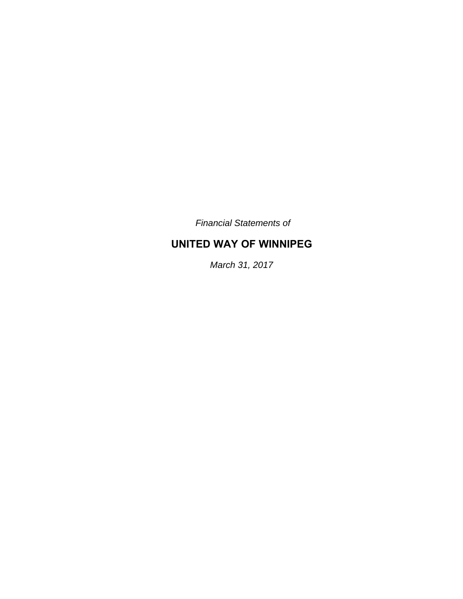*Financial Statements of* 

# **UNITED WAY OF WINNIPEG**

*March 31, 2017*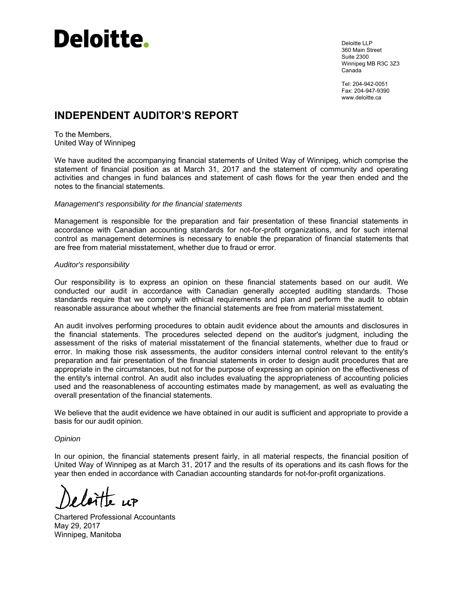

Deloitte LLP 360 Main Street Suite 2300 Winnipeg MB R3C 3Z3 Canada

Tel: 204-942-0051 Fax: 204-947-9390 www.deloitte.ca

# **INDEPENDENT AUDITOR'S REPORT**

To the Members, United Way of Winnipeg

We have audited the accompanying financial statements of United Way of Winnipeg, which comprise the statement of financial position as at March 31, 2017 and the statement of community and operating activities and changes in fund balances and statement of cash flows for the year then ended and the notes to the financial statements.

#### *Management's responsibility for the financial statements*

Management is responsible for the preparation and fair presentation of these financial statements in accordance with Canadian accounting standards for not-for-profit organizations, and for such internal control as management determines is necessary to enable the preparation of financial statements that are free from material misstatement, whether due to fraud or error.

#### *Auditor's responsibility*

Our responsibility is to express an opinion on these financial statements based on our audit. We conducted our audit in accordance with Canadian generally accepted auditing standards. Those standards require that we comply with ethical requirements and plan and perform the audit to obtain reasonable assurance about whether the financial statements are free from material misstatement.

An audit involves performing procedures to obtain audit evidence about the amounts and disclosures in the financial statements. The procedures selected depend on the auditor's judgment, including the assessment of the risks of material misstatement of the financial statements, whether due to fraud or error. In making those risk assessments, the auditor considers internal control relevant to the entity's preparation and fair presentation of the financial statements in order to design audit procedures that are appropriate in the circumstances, but not for the purpose of expressing an opinion on the effectiveness of the entity's internal control. An audit also includes evaluating the appropriateness of accounting policies used and the reasonableness of accounting estimates made by management, as well as evaluating the overall presentation of the financial statements.

We believe that the audit evidence we have obtained in our audit is sufficient and appropriate to provide a basis for our audit opinion.

#### *Opinion*

In our opinion, the financial statements present fairly, in all material respects, the financial position of United Way of Winnipeg as at March 31, 2017 and the results of its operations and its cash flows for the year then ended in accordance with Canadian accounting standards for not-for-profit organizations.

Chartered Professional Accountants May 29, 2017 Winnipeg, Manitoba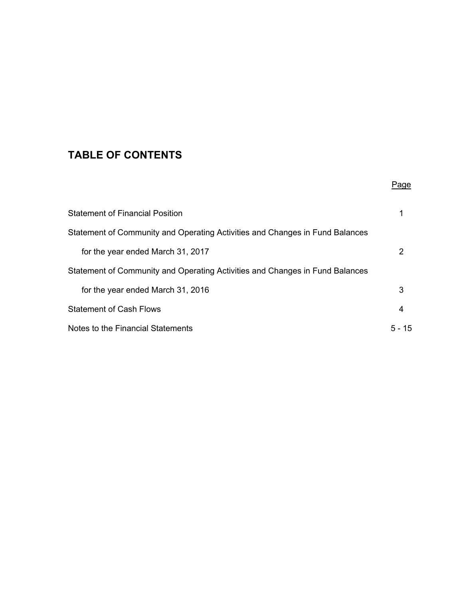# **TABLE OF CONTENTS**

|                                                                              | Page      |
|------------------------------------------------------------------------------|-----------|
| <b>Statement of Financial Position</b>                                       |           |
| Statement of Community and Operating Activities and Changes in Fund Balances |           |
| for the year ended March 31, 2017                                            | 2         |
| Statement of Community and Operating Activities and Changes in Fund Balances |           |
| for the year ended March 31, 2016                                            | 3         |
| <b>Statement of Cash Flows</b>                                               | 4         |
| Notes to the Financial Statements                                            | 5 –<br>15 |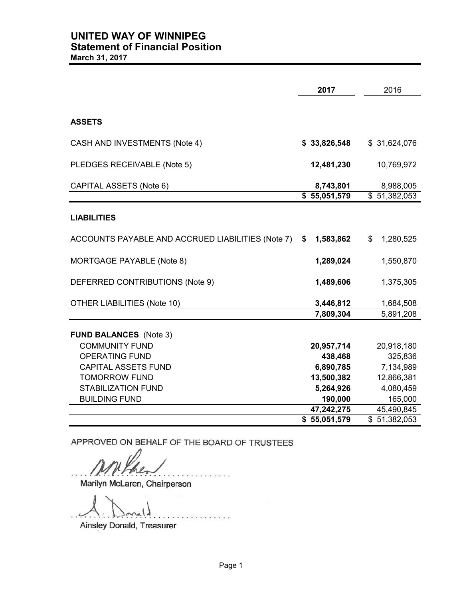|                                                   | 2017            | 2016                     |
|---------------------------------------------------|-----------------|--------------------------|
|                                                   |                 |                          |
| <b>ASSETS</b>                                     |                 |                          |
| CASH AND INVESTMENTS (Note 4)                     | \$33,826,548    | \$31,624,076             |
| PLEDGES RECEIVABLE (Note 5)                       | 12,481,230      | 10,769,972               |
| CAPITAL ASSETS (Note 6)                           | 8,743,801       | 8,988,005                |
|                                                   | \$55,051,579    | $\overline{$}51,382,053$ |
| <b>LIABILITIES</b>                                |                 |                          |
| ACCOUNTS PAYABLE AND ACCRUED LIABILITIES (Note 7) | 1,583,862<br>\$ | \$<br>1,280,525          |
| MORTGAGE PAYABLE (Note 8)                         | 1,289,024       | 1,550,870                |
| DEFERRED CONTRIBUTIONS (Note 9)                   | 1,489,606       | 1,375,305                |
| <b>OTHER LIABILITIES (Note 10)</b>                | 3,446,812       | 1,684,508                |
|                                                   | 7,809,304       | 5,891,208                |
| <b>FUND BALANCES</b> (Note 3)                     |                 |                          |
| <b>COMMUNITY FUND</b>                             | 20,957,714      | 20,918,180               |
| <b>OPERATING FUND</b>                             | 438,468         | 325,836                  |
| <b>CAPITAL ASSETS FUND</b>                        | 6,890,785       | 7,134,989                |
| <b>TOMORROW FUND</b>                              | 13,500,382      | 12,866,381               |
| <b>STABILIZATION FUND</b>                         | 5,264,926       | 4,080,459                |
| <b>BUILDING FUND</b>                              | 190,000         | 165,000                  |
|                                                   | 47,242,275      | 45,490,845               |
|                                                   | \$55,051,579    | $\overline{51,382,053}$  |

APPROVED ON BEHALF OF THE BOARD OF TRUSTEES

 $IMPHAL-$ 

Marilyn McLaren, Chairperson

. . . . . . . . . . . . . . . . . . . . . . . . . . . . . . . . . . .

Ainsley Donald, Treasurer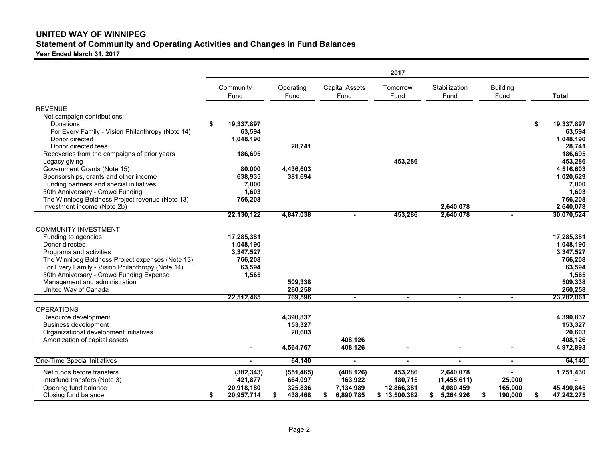## **UNITED WAY OF WINNIPEGStatement of Community and Operating Activities and Changes in Fund Balances**

**Year Ended March 31, 2017**

| Community<br>Stabilization<br><b>Building</b><br>Operating<br><b>Capital Assets</b><br>Tomorrow<br>Fund<br>Fund<br>Fund<br>Fund<br>Fund<br>Fund<br><b>Total</b><br><b>REVENUE</b><br>Net campaign contributions:<br>19,337,897<br>\$<br>19,337,897<br>Donations<br>For Every Family - Vision Philanthropy (Note 14)<br>63.594<br>63,594<br>Donor directed<br>1,048,190<br>1,048,190<br>Donor directed fees<br>28,741<br>28,741<br>Recoveries from the campaigns of prior years<br>186,695<br>186,695<br>453,286<br>453,286<br>Legacy giving<br>Government Grants (Note 15)<br>4,516,603<br>80,000<br>4,436,603<br>Sponsorships, grants and other income<br>381,694<br>1,020,629<br>638,935<br>Funding partners and special initiatives<br>7,000<br>7,000<br>50th Anniversary - Crowd Funding<br>1,603<br>1,603<br>The Winnipeg Boldness Project revenue (Note 13)<br>766,208<br>766,208<br>Investment income (Note 2b)<br>2,640,078<br>2,640,078<br>22,130,122<br>4,847,038<br>453,286<br>2,640,078<br>30,070,524<br>$\blacksquare$<br>$\overline{\phantom{a}}$<br><b>COMMUNITY INVESTMENT</b><br>17,285,381<br>17,285,381<br>Funding to agencies<br>Donor directed<br>1,048,190<br>1,048,190<br>Programs and activities<br>3,347,527<br>3,347,527<br>The Winnipeg Boldness Project expenses (Note 13)<br>766,208<br>766,208<br>For Every Family - Vision Philanthropy (Note 14)<br>63,594<br>63,594<br>50th Anniversary - Crowd Funding Expense<br>1,565<br>1,565<br>Management and administration<br>509,338<br>509,338<br>United Way of Canada<br>260,258<br>260,258<br>23,282,061<br>22,512,465<br>769,596<br>$\blacksquare$<br>$\blacksquare$<br>$\blacksquare$<br>$\blacksquare$<br><b>OPERATIONS</b><br>Resource development<br>4,390,837<br>4,390,837<br><b>Business development</b><br>153,327<br>153,327<br>Organizational development initiatives<br>20,603<br>20,603<br>Amortization of capital assets<br>408,126<br>408,126<br>4,564,767<br>408,126<br>4,972,893<br>$\blacksquare$<br>$\blacksquare$<br>$\blacksquare$<br>$\blacksquare$<br><b>One-Time Special Initiatives</b><br>64,140<br>64,140<br>$\blacksquare$<br>$\blacksquare$<br>1,751,430<br>Net funds before transfers<br>(382, 343)<br>(408, 126)<br>453,286<br>2,640,078<br>(551, 465)<br>664,097<br>421,877<br>163,922<br>180,715<br>(1,455,611)<br>Interfund transfers (Note 3)<br>25,000<br>325,836<br>12,866,381<br>45,490,845<br>Opening fund balance<br>20,918,180<br>7,134,989<br>4,080,459<br>165,000<br>20,957,714<br>438,468<br>190,000<br>47,242,275<br>Closing fund balance<br>\$<br>6,890,785<br>\$13,500,382<br>5,264,926<br>\$<br>\$ |  |  |  | 2017 |  |  |  |
|--------------------------------------------------------------------------------------------------------------------------------------------------------------------------------------------------------------------------------------------------------------------------------------------------------------------------------------------------------------------------------------------------------------------------------------------------------------------------------------------------------------------------------------------------------------------------------------------------------------------------------------------------------------------------------------------------------------------------------------------------------------------------------------------------------------------------------------------------------------------------------------------------------------------------------------------------------------------------------------------------------------------------------------------------------------------------------------------------------------------------------------------------------------------------------------------------------------------------------------------------------------------------------------------------------------------------------------------------------------------------------------------------------------------------------------------------------------------------------------------------------------------------------------------------------------------------------------------------------------------------------------------------------------------------------------------------------------------------------------------------------------------------------------------------------------------------------------------------------------------------------------------------------------------------------------------------------------------------------------------------------------------------------------------------------------------------------------------------------------------------------------------------------------------------------------------------------------------------------------------------------------------------------------------------------------------------------------------------------------------------------------------------------------------------------------------------------------------------------------------------------------------------------------------------------------------------------------------------------------------------------|--|--|--|------|--|--|--|
|                                                                                                                                                                                                                                                                                                                                                                                                                                                                                                                                                                                                                                                                                                                                                                                                                                                                                                                                                                                                                                                                                                                                                                                                                                                                                                                                                                                                                                                                                                                                                                                                                                                                                                                                                                                                                                                                                                                                                                                                                                                                                                                                                                                                                                                                                                                                                                                                                                                                                                                                                                                                                                |  |  |  |      |  |  |  |
|                                                                                                                                                                                                                                                                                                                                                                                                                                                                                                                                                                                                                                                                                                                                                                                                                                                                                                                                                                                                                                                                                                                                                                                                                                                                                                                                                                                                                                                                                                                                                                                                                                                                                                                                                                                                                                                                                                                                                                                                                                                                                                                                                                                                                                                                                                                                                                                                                                                                                                                                                                                                                                |  |  |  |      |  |  |  |
|                                                                                                                                                                                                                                                                                                                                                                                                                                                                                                                                                                                                                                                                                                                                                                                                                                                                                                                                                                                                                                                                                                                                                                                                                                                                                                                                                                                                                                                                                                                                                                                                                                                                                                                                                                                                                                                                                                                                                                                                                                                                                                                                                                                                                                                                                                                                                                                                                                                                                                                                                                                                                                |  |  |  |      |  |  |  |
|                                                                                                                                                                                                                                                                                                                                                                                                                                                                                                                                                                                                                                                                                                                                                                                                                                                                                                                                                                                                                                                                                                                                                                                                                                                                                                                                                                                                                                                                                                                                                                                                                                                                                                                                                                                                                                                                                                                                                                                                                                                                                                                                                                                                                                                                                                                                                                                                                                                                                                                                                                                                                                |  |  |  |      |  |  |  |
|                                                                                                                                                                                                                                                                                                                                                                                                                                                                                                                                                                                                                                                                                                                                                                                                                                                                                                                                                                                                                                                                                                                                                                                                                                                                                                                                                                                                                                                                                                                                                                                                                                                                                                                                                                                                                                                                                                                                                                                                                                                                                                                                                                                                                                                                                                                                                                                                                                                                                                                                                                                                                                |  |  |  |      |  |  |  |
|                                                                                                                                                                                                                                                                                                                                                                                                                                                                                                                                                                                                                                                                                                                                                                                                                                                                                                                                                                                                                                                                                                                                                                                                                                                                                                                                                                                                                                                                                                                                                                                                                                                                                                                                                                                                                                                                                                                                                                                                                                                                                                                                                                                                                                                                                                                                                                                                                                                                                                                                                                                                                                |  |  |  |      |  |  |  |
|                                                                                                                                                                                                                                                                                                                                                                                                                                                                                                                                                                                                                                                                                                                                                                                                                                                                                                                                                                                                                                                                                                                                                                                                                                                                                                                                                                                                                                                                                                                                                                                                                                                                                                                                                                                                                                                                                                                                                                                                                                                                                                                                                                                                                                                                                                                                                                                                                                                                                                                                                                                                                                |  |  |  |      |  |  |  |
|                                                                                                                                                                                                                                                                                                                                                                                                                                                                                                                                                                                                                                                                                                                                                                                                                                                                                                                                                                                                                                                                                                                                                                                                                                                                                                                                                                                                                                                                                                                                                                                                                                                                                                                                                                                                                                                                                                                                                                                                                                                                                                                                                                                                                                                                                                                                                                                                                                                                                                                                                                                                                                |  |  |  |      |  |  |  |
|                                                                                                                                                                                                                                                                                                                                                                                                                                                                                                                                                                                                                                                                                                                                                                                                                                                                                                                                                                                                                                                                                                                                                                                                                                                                                                                                                                                                                                                                                                                                                                                                                                                                                                                                                                                                                                                                                                                                                                                                                                                                                                                                                                                                                                                                                                                                                                                                                                                                                                                                                                                                                                |  |  |  |      |  |  |  |
|                                                                                                                                                                                                                                                                                                                                                                                                                                                                                                                                                                                                                                                                                                                                                                                                                                                                                                                                                                                                                                                                                                                                                                                                                                                                                                                                                                                                                                                                                                                                                                                                                                                                                                                                                                                                                                                                                                                                                                                                                                                                                                                                                                                                                                                                                                                                                                                                                                                                                                                                                                                                                                |  |  |  |      |  |  |  |
|                                                                                                                                                                                                                                                                                                                                                                                                                                                                                                                                                                                                                                                                                                                                                                                                                                                                                                                                                                                                                                                                                                                                                                                                                                                                                                                                                                                                                                                                                                                                                                                                                                                                                                                                                                                                                                                                                                                                                                                                                                                                                                                                                                                                                                                                                                                                                                                                                                                                                                                                                                                                                                |  |  |  |      |  |  |  |
|                                                                                                                                                                                                                                                                                                                                                                                                                                                                                                                                                                                                                                                                                                                                                                                                                                                                                                                                                                                                                                                                                                                                                                                                                                                                                                                                                                                                                                                                                                                                                                                                                                                                                                                                                                                                                                                                                                                                                                                                                                                                                                                                                                                                                                                                                                                                                                                                                                                                                                                                                                                                                                |  |  |  |      |  |  |  |
|                                                                                                                                                                                                                                                                                                                                                                                                                                                                                                                                                                                                                                                                                                                                                                                                                                                                                                                                                                                                                                                                                                                                                                                                                                                                                                                                                                                                                                                                                                                                                                                                                                                                                                                                                                                                                                                                                                                                                                                                                                                                                                                                                                                                                                                                                                                                                                                                                                                                                                                                                                                                                                |  |  |  |      |  |  |  |
|                                                                                                                                                                                                                                                                                                                                                                                                                                                                                                                                                                                                                                                                                                                                                                                                                                                                                                                                                                                                                                                                                                                                                                                                                                                                                                                                                                                                                                                                                                                                                                                                                                                                                                                                                                                                                                                                                                                                                                                                                                                                                                                                                                                                                                                                                                                                                                                                                                                                                                                                                                                                                                |  |  |  |      |  |  |  |
|                                                                                                                                                                                                                                                                                                                                                                                                                                                                                                                                                                                                                                                                                                                                                                                                                                                                                                                                                                                                                                                                                                                                                                                                                                                                                                                                                                                                                                                                                                                                                                                                                                                                                                                                                                                                                                                                                                                                                                                                                                                                                                                                                                                                                                                                                                                                                                                                                                                                                                                                                                                                                                |  |  |  |      |  |  |  |
|                                                                                                                                                                                                                                                                                                                                                                                                                                                                                                                                                                                                                                                                                                                                                                                                                                                                                                                                                                                                                                                                                                                                                                                                                                                                                                                                                                                                                                                                                                                                                                                                                                                                                                                                                                                                                                                                                                                                                                                                                                                                                                                                                                                                                                                                                                                                                                                                                                                                                                                                                                                                                                |  |  |  |      |  |  |  |
|                                                                                                                                                                                                                                                                                                                                                                                                                                                                                                                                                                                                                                                                                                                                                                                                                                                                                                                                                                                                                                                                                                                                                                                                                                                                                                                                                                                                                                                                                                                                                                                                                                                                                                                                                                                                                                                                                                                                                                                                                                                                                                                                                                                                                                                                                                                                                                                                                                                                                                                                                                                                                                |  |  |  |      |  |  |  |
|                                                                                                                                                                                                                                                                                                                                                                                                                                                                                                                                                                                                                                                                                                                                                                                                                                                                                                                                                                                                                                                                                                                                                                                                                                                                                                                                                                                                                                                                                                                                                                                                                                                                                                                                                                                                                                                                                                                                                                                                                                                                                                                                                                                                                                                                                                                                                                                                                                                                                                                                                                                                                                |  |  |  |      |  |  |  |
|                                                                                                                                                                                                                                                                                                                                                                                                                                                                                                                                                                                                                                                                                                                                                                                                                                                                                                                                                                                                                                                                                                                                                                                                                                                                                                                                                                                                                                                                                                                                                                                                                                                                                                                                                                                                                                                                                                                                                                                                                                                                                                                                                                                                                                                                                                                                                                                                                                                                                                                                                                                                                                |  |  |  |      |  |  |  |
|                                                                                                                                                                                                                                                                                                                                                                                                                                                                                                                                                                                                                                                                                                                                                                                                                                                                                                                                                                                                                                                                                                                                                                                                                                                                                                                                                                                                                                                                                                                                                                                                                                                                                                                                                                                                                                                                                                                                                                                                                                                                                                                                                                                                                                                                                                                                                                                                                                                                                                                                                                                                                                |  |  |  |      |  |  |  |
|                                                                                                                                                                                                                                                                                                                                                                                                                                                                                                                                                                                                                                                                                                                                                                                                                                                                                                                                                                                                                                                                                                                                                                                                                                                                                                                                                                                                                                                                                                                                                                                                                                                                                                                                                                                                                                                                                                                                                                                                                                                                                                                                                                                                                                                                                                                                                                                                                                                                                                                                                                                                                                |  |  |  |      |  |  |  |
|                                                                                                                                                                                                                                                                                                                                                                                                                                                                                                                                                                                                                                                                                                                                                                                                                                                                                                                                                                                                                                                                                                                                                                                                                                                                                                                                                                                                                                                                                                                                                                                                                                                                                                                                                                                                                                                                                                                                                                                                                                                                                                                                                                                                                                                                                                                                                                                                                                                                                                                                                                                                                                |  |  |  |      |  |  |  |
|                                                                                                                                                                                                                                                                                                                                                                                                                                                                                                                                                                                                                                                                                                                                                                                                                                                                                                                                                                                                                                                                                                                                                                                                                                                                                                                                                                                                                                                                                                                                                                                                                                                                                                                                                                                                                                                                                                                                                                                                                                                                                                                                                                                                                                                                                                                                                                                                                                                                                                                                                                                                                                |  |  |  |      |  |  |  |
|                                                                                                                                                                                                                                                                                                                                                                                                                                                                                                                                                                                                                                                                                                                                                                                                                                                                                                                                                                                                                                                                                                                                                                                                                                                                                                                                                                                                                                                                                                                                                                                                                                                                                                                                                                                                                                                                                                                                                                                                                                                                                                                                                                                                                                                                                                                                                                                                                                                                                                                                                                                                                                |  |  |  |      |  |  |  |
|                                                                                                                                                                                                                                                                                                                                                                                                                                                                                                                                                                                                                                                                                                                                                                                                                                                                                                                                                                                                                                                                                                                                                                                                                                                                                                                                                                                                                                                                                                                                                                                                                                                                                                                                                                                                                                                                                                                                                                                                                                                                                                                                                                                                                                                                                                                                                                                                                                                                                                                                                                                                                                |  |  |  |      |  |  |  |
|                                                                                                                                                                                                                                                                                                                                                                                                                                                                                                                                                                                                                                                                                                                                                                                                                                                                                                                                                                                                                                                                                                                                                                                                                                                                                                                                                                                                                                                                                                                                                                                                                                                                                                                                                                                                                                                                                                                                                                                                                                                                                                                                                                                                                                                                                                                                                                                                                                                                                                                                                                                                                                |  |  |  |      |  |  |  |
|                                                                                                                                                                                                                                                                                                                                                                                                                                                                                                                                                                                                                                                                                                                                                                                                                                                                                                                                                                                                                                                                                                                                                                                                                                                                                                                                                                                                                                                                                                                                                                                                                                                                                                                                                                                                                                                                                                                                                                                                                                                                                                                                                                                                                                                                                                                                                                                                                                                                                                                                                                                                                                |  |  |  |      |  |  |  |
|                                                                                                                                                                                                                                                                                                                                                                                                                                                                                                                                                                                                                                                                                                                                                                                                                                                                                                                                                                                                                                                                                                                                                                                                                                                                                                                                                                                                                                                                                                                                                                                                                                                                                                                                                                                                                                                                                                                                                                                                                                                                                                                                                                                                                                                                                                                                                                                                                                                                                                                                                                                                                                |  |  |  |      |  |  |  |
|                                                                                                                                                                                                                                                                                                                                                                                                                                                                                                                                                                                                                                                                                                                                                                                                                                                                                                                                                                                                                                                                                                                                                                                                                                                                                                                                                                                                                                                                                                                                                                                                                                                                                                                                                                                                                                                                                                                                                                                                                                                                                                                                                                                                                                                                                                                                                                                                                                                                                                                                                                                                                                |  |  |  |      |  |  |  |
|                                                                                                                                                                                                                                                                                                                                                                                                                                                                                                                                                                                                                                                                                                                                                                                                                                                                                                                                                                                                                                                                                                                                                                                                                                                                                                                                                                                                                                                                                                                                                                                                                                                                                                                                                                                                                                                                                                                                                                                                                                                                                                                                                                                                                                                                                                                                                                                                                                                                                                                                                                                                                                |  |  |  |      |  |  |  |
|                                                                                                                                                                                                                                                                                                                                                                                                                                                                                                                                                                                                                                                                                                                                                                                                                                                                                                                                                                                                                                                                                                                                                                                                                                                                                                                                                                                                                                                                                                                                                                                                                                                                                                                                                                                                                                                                                                                                                                                                                                                                                                                                                                                                                                                                                                                                                                                                                                                                                                                                                                                                                                |  |  |  |      |  |  |  |
|                                                                                                                                                                                                                                                                                                                                                                                                                                                                                                                                                                                                                                                                                                                                                                                                                                                                                                                                                                                                                                                                                                                                                                                                                                                                                                                                                                                                                                                                                                                                                                                                                                                                                                                                                                                                                                                                                                                                                                                                                                                                                                                                                                                                                                                                                                                                                                                                                                                                                                                                                                                                                                |  |  |  |      |  |  |  |
|                                                                                                                                                                                                                                                                                                                                                                                                                                                                                                                                                                                                                                                                                                                                                                                                                                                                                                                                                                                                                                                                                                                                                                                                                                                                                                                                                                                                                                                                                                                                                                                                                                                                                                                                                                                                                                                                                                                                                                                                                                                                                                                                                                                                                                                                                                                                                                                                                                                                                                                                                                                                                                |  |  |  |      |  |  |  |
|                                                                                                                                                                                                                                                                                                                                                                                                                                                                                                                                                                                                                                                                                                                                                                                                                                                                                                                                                                                                                                                                                                                                                                                                                                                                                                                                                                                                                                                                                                                                                                                                                                                                                                                                                                                                                                                                                                                                                                                                                                                                                                                                                                                                                                                                                                                                                                                                                                                                                                                                                                                                                                |  |  |  |      |  |  |  |
|                                                                                                                                                                                                                                                                                                                                                                                                                                                                                                                                                                                                                                                                                                                                                                                                                                                                                                                                                                                                                                                                                                                                                                                                                                                                                                                                                                                                                                                                                                                                                                                                                                                                                                                                                                                                                                                                                                                                                                                                                                                                                                                                                                                                                                                                                                                                                                                                                                                                                                                                                                                                                                |  |  |  |      |  |  |  |
|                                                                                                                                                                                                                                                                                                                                                                                                                                                                                                                                                                                                                                                                                                                                                                                                                                                                                                                                                                                                                                                                                                                                                                                                                                                                                                                                                                                                                                                                                                                                                                                                                                                                                                                                                                                                                                                                                                                                                                                                                                                                                                                                                                                                                                                                                                                                                                                                                                                                                                                                                                                                                                |  |  |  |      |  |  |  |
|                                                                                                                                                                                                                                                                                                                                                                                                                                                                                                                                                                                                                                                                                                                                                                                                                                                                                                                                                                                                                                                                                                                                                                                                                                                                                                                                                                                                                                                                                                                                                                                                                                                                                                                                                                                                                                                                                                                                                                                                                                                                                                                                                                                                                                                                                                                                                                                                                                                                                                                                                                                                                                |  |  |  |      |  |  |  |
|                                                                                                                                                                                                                                                                                                                                                                                                                                                                                                                                                                                                                                                                                                                                                                                                                                                                                                                                                                                                                                                                                                                                                                                                                                                                                                                                                                                                                                                                                                                                                                                                                                                                                                                                                                                                                                                                                                                                                                                                                                                                                                                                                                                                                                                                                                                                                                                                                                                                                                                                                                                                                                |  |  |  |      |  |  |  |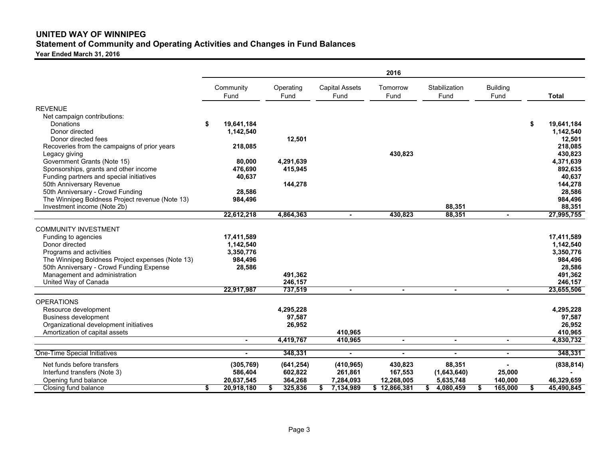## **UNITED WAY OF WINNIPEGStatement of Community and Operating Activities and Changes in Fund Balances**

**Year Ended March 31, 2016**

|                                                                                                                                                             |                                          |    |                       |                               | 2016               |                       |                         |                                                    |
|-------------------------------------------------------------------------------------------------------------------------------------------------------------|------------------------------------------|----|-----------------------|-------------------------------|--------------------|-----------------------|-------------------------|----------------------------------------------------|
|                                                                                                                                                             | Community<br>Fund                        |    | Operating<br>Fund     | <b>Capital Assets</b><br>Fund | Tomorrow<br>Fund   | Stabilization<br>Fund | <b>Building</b><br>Fund | <b>Total</b>                                       |
| <b>REVENUE</b>                                                                                                                                              |                                          |    |                       |                               |                    |                       |                         |                                                    |
| Net campaign contributions:<br>Donations<br>Donor directed<br>Donor directed fees<br>Recoveries from the campaigns of prior years                           | \$<br>19,641,184<br>1,142,540<br>218,085 |    | 12,501                |                               |                    |                       |                         | \$<br>19,641,184<br>1,142,540<br>12,501<br>218,085 |
| Legacy giving<br>Government Grants (Note 15)<br>Sponsorships, grants and other income                                                                       | 80,000<br>476,690                        |    | 4,291,639<br>415,945  |                               | 430,823            |                       |                         | 430,823<br>4,371,639<br>892,635                    |
| Funding partners and special initiatives<br>50th Anniversary Revenue<br>50th Anniversary - Crowd Funding<br>The Winnipeg Boldness Project revenue (Note 13) | 40,637<br>28,586<br>984,496              |    | 144,278               |                               |                    |                       |                         | 40,637<br>144,278<br>28,586<br>984,496             |
| Investment income (Note 2b)                                                                                                                                 |                                          |    |                       |                               |                    | 88,351                |                         | 88,351                                             |
|                                                                                                                                                             | 22,612,218                               |    | 4,864,363             | $\blacksquare$                | 430,823            | 88,351                | $\blacksquare$          | 27,995,755                                         |
| <b>COMMUNITY INVESTMENT</b><br>Funding to agencies<br>Donor directed                                                                                        | 17,411,589<br>1,142,540                  |    |                       |                               |                    |                       |                         | 17,411,589<br>1,142,540                            |
| Programs and activities<br>The Winnipeg Boldness Project expenses (Note 13)<br>50th Anniversary - Crowd Funding Expense                                     | 3,350,776<br>984,496<br>28,586           |    |                       |                               |                    |                       |                         | 3,350,776<br>984,496<br>28,586                     |
| Management and administration<br>United Way of Canada                                                                                                       |                                          |    | 491,362<br>246,157    |                               |                    |                       |                         | 491,362<br>246,157                                 |
|                                                                                                                                                             | 22,917,987                               |    | 737,519               | $\blacksquare$                | $\blacksquare$     | $\blacksquare$        | $\blacksquare$          | 23,655,506                                         |
| <b>OPERATIONS</b><br>Resource development                                                                                                                   |                                          |    | 4,295,228             |                               |                    |                       |                         | 4,295,228                                          |
| <b>Business development</b><br>Organizational development initiatives                                                                                       |                                          |    | 97,587<br>26,952      |                               |                    |                       |                         | 97,587<br>26,952                                   |
| Amortization of capital assets                                                                                                                              | $\sim$                                   |    | 4,419,767             | 410,965<br>410,965            | $\blacksquare$     | $\sim$                | $\sim$                  | 410,965<br>4,830,732                               |
| One-Time Special Initiatives                                                                                                                                | $\blacksquare$                           |    | 348,331               | $\blacksquare$                | $\blacksquare$     | $\blacksquare$        | $\blacksquare$          | 348,331                                            |
| Net funds before transfers<br>Interfund transfers (Note 3)                                                                                                  | (305, 769)<br>586,404                    |    | (641, 254)<br>602,822 | (410, 965)<br>261,861         | 430,823<br>167,553 | 88,351<br>(1,643,640) | 25,000                  | (838, 814)                                         |
| Opening fund balance                                                                                                                                        | 20,637,545                               |    | 364,268               | 7,284,093                     | 12,268,005         | 5,635,748             | 140,000                 | 46,329,659                                         |
| <b>Closing fund balance</b>                                                                                                                                 | \$<br>20,918,180                         | S. | 325,836               | 7,134,989                     | \$12,866,381       | \$<br>4,080,459       | 165,000                 | 45,490,845                                         |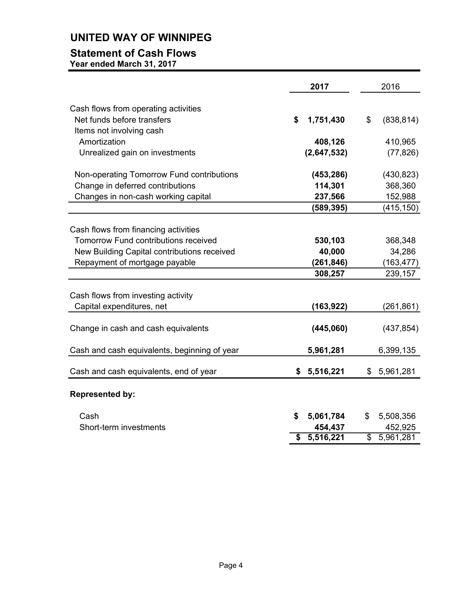# **UNITED WAY OF WINNIPEG**

## **Statement of Cash Flows**

**Year ended March 31, 2017**

|                                              | 2017                        |             |                          | 2016       |
|----------------------------------------------|-----------------------------|-------------|--------------------------|------------|
| Cash flows from operating activities         |                             |             |                          |            |
| Net funds before transfers                   | \$                          | 1,751,430   | \$                       | (838, 814) |
| Items not involving cash                     |                             |             |                          |            |
| Amortization                                 |                             | 408,126     |                          | 410,965    |
| Unrealized gain on investments               |                             | (2,647,532) |                          | (77, 826)  |
|                                              |                             |             |                          |            |
| Non-operating Tomorrow Fund contributions    |                             | (453, 286)  |                          | (430, 823) |
| Change in deferred contributions             |                             | 114,301     |                          | 368,360    |
| Changes in non-cash working capital          |                             | 237,566     |                          | 152,988    |
|                                              |                             | (589, 395)  |                          | (415, 150) |
|                                              |                             |             |                          |            |
| Cash flows from financing activities         |                             |             |                          |            |
| <b>Tomorrow Fund contributions received</b>  |                             | 530,103     |                          | 368,348    |
| New Building Capital contributions received  |                             | 40,000      |                          | 34,286     |
| Repayment of mortgage payable                |                             | (261, 846)  |                          | (163, 477) |
|                                              |                             | 308,257     |                          | 239,157    |
|                                              |                             |             |                          |            |
| Cash flows from investing activity           |                             |             |                          |            |
| Capital expenditures, net                    |                             | (163, 922)  |                          | (261, 861) |
|                                              |                             |             |                          |            |
| Change in cash and cash equivalents          |                             | (445,060)   |                          | (437, 854) |
|                                              |                             |             |                          |            |
| Cash and cash equivalents, beginning of year |                             | 5,961,281   |                          | 6,399,135  |
|                                              |                             |             |                          |            |
| Cash and cash equivalents, end of year       | \$                          | 5,516,221   | \$                       | 5,961,281  |
|                                              |                             |             |                          |            |
| <b>Represented by:</b>                       |                             |             |                          |            |
|                                              |                             |             |                          |            |
| Cash                                         | \$                          | 5,061,784   | \$                       | 5,508,356  |
| Short-term investments                       |                             | 454,437     |                          | 452,925    |
|                                              | $\overline{\boldsymbol{s}}$ | 5,516,221   | $\overline{\mathcal{S}}$ | 5,961,281  |

**\$ 5,516,221** \$ 5,961,281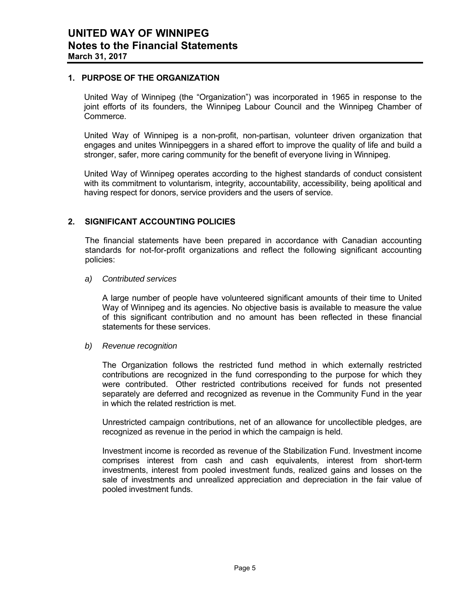### **1. PURPOSE OF THE ORGANIZATION**

United Way of Winnipeg (the "Organization") was incorporated in 1965 in response to the joint efforts of its founders, the Winnipeg Labour Council and the Winnipeg Chamber of Commerce.

United Way of Winnipeg is a non-profit, non-partisan, volunteer driven organization that engages and unites Winnipeggers in a shared effort to improve the quality of life and build a stronger, safer, more caring community for the benefit of everyone living in Winnipeg.

United Way of Winnipeg operates according to the highest standards of conduct consistent with its commitment to voluntarism, integrity, accountability, accessibility, being apolitical and having respect for donors, service providers and the users of service.

## **2. SIGNIFICANT ACCOUNTING POLICIES**

The financial statements have been prepared in accordance with Canadian accounting standards for not-for-profit organizations and reflect the following significant accounting policies:

#### *a) Contributed services*

A large number of people have volunteered significant amounts of their time to United Way of Winnipeg and its agencies. No objective basis is available to measure the value of this significant contribution and no amount has been reflected in these financial statements for these services.

#### *b) Revenue recognition*

The Organization follows the restricted fund method in which externally restricted contributions are recognized in the fund corresponding to the purpose for which they were contributed. Other restricted contributions received for funds not presented separately are deferred and recognized as revenue in the Community Fund in the year in which the related restriction is met.

Unrestricted campaign contributions, net of an allowance for uncollectible pledges, are recognized as revenue in the period in which the campaign is held.

Investment income is recorded as revenue of the Stabilization Fund. Investment income comprises interest from cash and cash equivalents, interest from short-term investments, interest from pooled investment funds, realized gains and losses on the sale of investments and unrealized appreciation and depreciation in the fair value of pooled investment funds.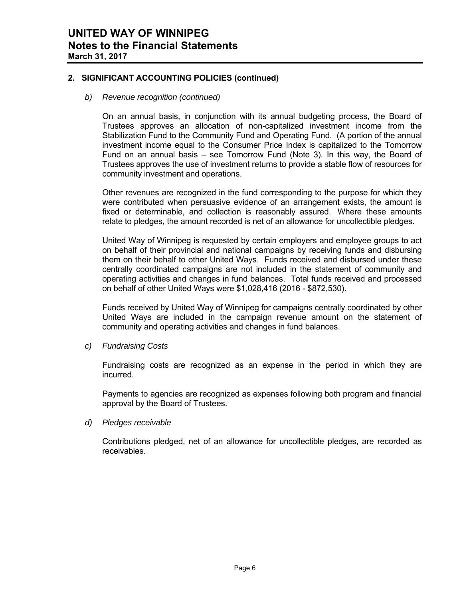## **2. SIGNIFICANT ACCOUNTING POLICIES (continued)**

#### *b) Revenue recognition (continued)*

On an annual basis, in conjunction with its annual budgeting process, the Board of Trustees approves an allocation of non-capitalized investment income from the Stabilization Fund to the Community Fund and Operating Fund. (A portion of the annual investment income equal to the Consumer Price Index is capitalized to the Tomorrow Fund on an annual basis – see Tomorrow Fund (Note 3). In this way, the Board of Trustees approves the use of investment returns to provide a stable flow of resources for community investment and operations.

Other revenues are recognized in the fund corresponding to the purpose for which they were contributed when persuasive evidence of an arrangement exists, the amount is fixed or determinable, and collection is reasonably assured. Where these amounts relate to pledges, the amount recorded is net of an allowance for uncollectible pledges.

United Way of Winnipeg is requested by certain employers and employee groups to act on behalf of their provincial and national campaigns by receiving funds and disbursing them on their behalf to other United Ways. Funds received and disbursed under these centrally coordinated campaigns are not included in the statement of community and operating activities and changes in fund balances. Total funds received and processed on behalf of other United Ways were \$1,028,416 (2016 - \$872,530).

Funds received by United Way of Winnipeg for campaigns centrally coordinated by other United Ways are included in the campaign revenue amount on the statement of community and operating activities and changes in fund balances.

*c) Fundraising Costs* 

Fundraising costs are recognized as an expense in the period in which they are incurred.

Payments to agencies are recognized as expenses following both program and financial approval by the Board of Trustees.

#### *d) Pledges receivable*

Contributions pledged, net of an allowance for uncollectible pledges, are recorded as receivables.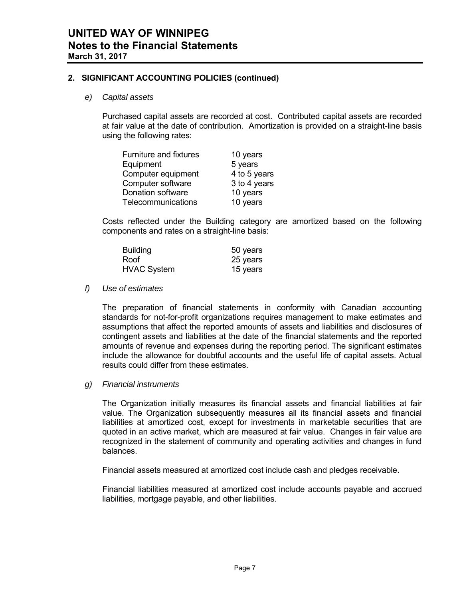## **2. SIGNIFICANT ACCOUNTING POLICIES (continued)**

#### *e) Capital assets*

Purchased capital assets are recorded at cost. Contributed capital assets are recorded at fair value at the date of contribution. Amortization is provided on a straight-line basis using the following rates:

| Furniture and fixtures | 10 years     |
|------------------------|--------------|
| Equipment              | 5 years      |
| Computer equipment     | 4 to 5 years |
| Computer software      | 3 to 4 years |
| Donation software      | 10 years     |
| Telecommunications     | 10 years     |

Costs reflected under the Building category are amortized based on the following components and rates on a straight-line basis:

| <b>Building</b>    | 50 years |
|--------------------|----------|
| Roof               | 25 years |
| <b>HVAC System</b> | 15 years |

#### *f) Use of estimates*

The preparation of financial statements in conformity with Canadian accounting standards for not-for-profit organizations requires management to make estimates and assumptions that affect the reported amounts of assets and liabilities and disclosures of contingent assets and liabilities at the date of the financial statements and the reported amounts of revenue and expenses during the reporting period. The significant estimates include the allowance for doubtful accounts and the useful life of capital assets. Actual results could differ from these estimates.

### *g) Financial instruments*

The Organization initially measures its financial assets and financial liabilities at fair value. The Organization subsequently measures all its financial assets and financial liabilities at amortized cost, except for investments in marketable securities that are quoted in an active market, which are measured at fair value. Changes in fair value are recognized in the statement of community and operating activities and changes in fund balances.

Financial assets measured at amortized cost include cash and pledges receivable.

Financial liabilities measured at amortized cost include accounts payable and accrued liabilities, mortgage payable, and other liabilities.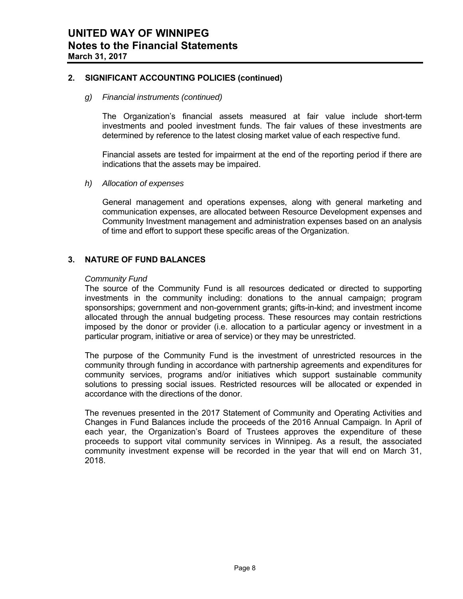## **2. SIGNIFICANT ACCOUNTING POLICIES (continued)**

#### *g) Financial instruments (continued)*

The Organization's financial assets measured at fair value include short-term investments and pooled investment funds. The fair values of these investments are determined by reference to the latest closing market value of each respective fund.

Financial assets are tested for impairment at the end of the reporting period if there are indications that the assets may be impaired.

#### *h) Allocation of expenses*

General management and operations expenses, along with general marketing and communication expenses, are allocated between Resource Development expenses and Community Investment management and administration expenses based on an analysis of time and effort to support these specific areas of the Organization.

## **3. NATURE OF FUND BALANCES**

#### *Community Fund*

 The source of the Community Fund is all resources dedicated or directed to supporting investments in the community including: donations to the annual campaign; program sponsorships; government and non-government grants; gifts-in-kind; and investment income allocated through the annual budgeting process. These resources may contain restrictions imposed by the donor or provider (i.e. allocation to a particular agency or investment in a particular program, initiative or area of service) or they may be unrestricted.

 The purpose of the Community Fund is the investment of unrestricted resources in the community through funding in accordance with partnership agreements and expenditures for community services, programs and/or initiatives which support sustainable community solutions to pressing social issues. Restricted resources will be allocated or expended in accordance with the directions of the donor.

The revenues presented in the 2017 Statement of Community and Operating Activities and Changes in Fund Balances include the proceeds of the 2016 Annual Campaign. In April of each year, the Organization's Board of Trustees approves the expenditure of these proceeds to support vital community services in Winnipeg. As a result, the associated community investment expense will be recorded in the year that will end on March 31, 2018.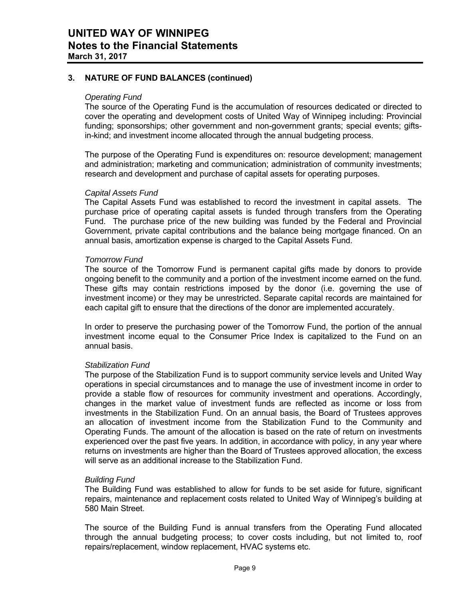## **3. NATURE OF FUND BALANCES (continued)**

#### *Operating Fund*

The source of the Operating Fund is the accumulation of resources dedicated or directed to cover the operating and development costs of United Way of Winnipeg including: Provincial funding; sponsorships; other government and non-government grants; special events; giftsin-kind; and investment income allocated through the annual budgeting process.

The purpose of the Operating Fund is expenditures on: resource development; management and administration; marketing and communication; administration of community investments; research and development and purchase of capital assets for operating purposes.

#### *Capital Assets Fund*

The Capital Assets Fund was established to record the investment in capital assets. The purchase price of operating capital assets is funded through transfers from the Operating Fund. The purchase price of the new building was funded by the Federal and Provincial Government, private capital contributions and the balance being mortgage financed. On an annual basis, amortization expense is charged to the Capital Assets Fund.

#### *Tomorrow Fund*

The source of the Tomorrow Fund is permanent capital gifts made by donors to provide ongoing benefit to the community and a portion of the investment income earned on the fund. These gifts may contain restrictions imposed by the donor (i.e. governing the use of investment income) or they may be unrestricted. Separate capital records are maintained for each capital gift to ensure that the directions of the donor are implemented accurately.

In order to preserve the purchasing power of the Tomorrow Fund, the portion of the annual investment income equal to the Consumer Price Index is capitalized to the Fund on an annual basis.

#### *Stabilization Fund*

The purpose of the Stabilization Fund is to support community service levels and United Way operations in special circumstances and to manage the use of investment income in order to provide a stable flow of resources for community investment and operations. Accordingly, changes in the market value of investment funds are reflected as income or loss from investments in the Stabilization Fund. On an annual basis, the Board of Trustees approves an allocation of investment income from the Stabilization Fund to the Community and Operating Funds. The amount of the allocation is based on the rate of return on investments experienced over the past five years. In addition, in accordance with policy, in any year where returns on investments are higher than the Board of Trustees approved allocation, the excess will serve as an additional increase to the Stabilization Fund.

#### *Building Fund*

The Building Fund was established to allow for funds to be set aside for future, significant repairs, maintenance and replacement costs related to United Way of Winnipeg's building at 580 Main Street.

The source of the Building Fund is annual transfers from the Operating Fund allocated through the annual budgeting process; to cover costs including, but not limited to, roof repairs/replacement, window replacement, HVAC systems etc.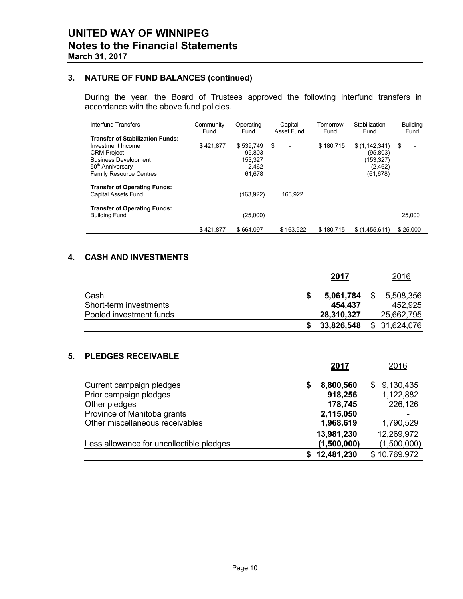## **3. NATURE OF FUND BALANCES (continued)**

During the year, the Board of Trustees approved the following interfund transfers in accordance with the above fund policies.

| Interfund Transfers                                                                                                                                                                 | Community<br>Fund | Operating<br>Fund                                 | Capital<br>Asset Fund | Tomorrow<br>Fund |                                                                  | <b>Building</b><br>Fund |
|-------------------------------------------------------------------------------------------------------------------------------------------------------------------------------------|-------------------|---------------------------------------------------|-----------------------|------------------|------------------------------------------------------------------|-------------------------|
| <b>Transfer of Stabilization Funds:</b><br>Investment Income<br><b>CRM Project</b><br><b>Business Development</b><br>50 <sup>th</sup> Anniversary<br><b>Family Resource Centres</b> | \$421.877         | \$539.749<br>95.803<br>153.327<br>2.462<br>61,678 | \$                    | \$180,715        | \$(1,142,341)<br>(95, 803)<br>(153, 327)<br>(2,462)<br>(61, 678) | \$<br>$\overline{a}$    |
| <b>Transfer of Operating Funds:</b><br>Capital Assets Fund<br><b>Transfer of Operating Funds:</b>                                                                                   |                   | (163, 922)                                        | 163,922               |                  |                                                                  |                         |
| <b>Building Fund</b>                                                                                                                                                                |                   | (25,000)                                          |                       |                  |                                                                  | 25,000                  |
|                                                                                                                                                                                     | \$421,877         | \$664.097                                         | \$163.922             | \$180.715        | \$(1.455.611)                                                    | \$25,000                |

## **4. CASH AND INVESTMENTS**

|    |                                                           | 2017                           |    | 2016                               |
|----|-----------------------------------------------------------|--------------------------------|----|------------------------------------|
|    | Cash<br>Short-term investments<br>Pooled investment funds | \$<br>5,061,784<br>454,437     | S. | 5,508,356<br>452,925<br>25,662,795 |
|    |                                                           | \$<br>28,310,327<br>33,826,548 |    | \$ 31,624,076                      |
| 5. | <b>PLEDGES RECEIVABLE</b>                                 | 2017                           |    | 2016                               |

| Current campaign pledges                 | S | 8,800,560   | 9,130,435<br>S. |
|------------------------------------------|---|-------------|-----------------|
| Prior campaign pledges                   |   | 918,256     | 1,122,882       |
| Other pledges                            |   | 178,745     | 226,126         |
| Province of Manitoba grants              |   | 2,115,050   | ۰               |
| Other miscellaneous receivables          |   | 1,968,619   | 1,790,529       |
|                                          |   | 13,981,230  | 12,269,972      |
| Less allowance for uncollectible pledges |   | (1,500,000) | (1,500,000)     |
|                                          |   | 12,481,230  | \$10,769,972    |
|                                          |   |             |                 |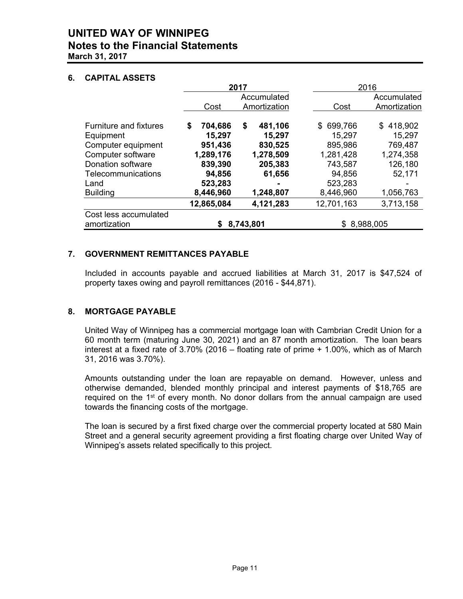## **UNITED WAY OF WINNIPEG Notes to the Financial Statements March 31, 2017**

## **6. CAPITAL ASSETS**

|                               |               | 2017                        |               | 2016                        |
|-------------------------------|---------------|-----------------------------|---------------|-----------------------------|
|                               | Cost          | Accumulated<br>Amortization | Cost          | Accumulated<br>Amortization |
| <b>Furniture and fixtures</b> | \$<br>704,686 | \$<br>481,106               | 699,766<br>\$ | \$418,902                   |
| Equipment                     | 15,297        | 15,297                      | 15,297        | 15,297                      |
| Computer equipment            | 951,436       | 830,525                     | 895,986       | 769,487                     |
| Computer software             | 1,289,176     | 1,278,509                   | 1,281,428     | 1,274,358                   |
| Donation software             | 839,390       | 205,383                     | 743,587       | 126,180                     |
| <b>Telecommunications</b>     | 94,856        | 61,656                      | 94,856        | 52,171                      |
| Land                          | 523,283       |                             | 523,283       |                             |
| <b>Building</b>               | 8,446,960     | 1,248,807                   | 8,446,960     | 1,056,763                   |
|                               | 12,865,084    | 4,121,283                   | 12,701,163    | 3,713,158                   |
| Cost less accumulated         |               |                             |               |                             |
| amortization                  |               | 8,743,801                   | \$8,988,005   |                             |

## **7. GOVERNMENT REMITTANCES PAYABLE**

 Included in accounts payable and accrued liabilities at March 31, 2017 is \$47,524 of property taxes owing and payroll remittances (2016 - \$44,871).

## **8. MORTGAGE PAYABLE**

 United Way of Winnipeg has a commercial mortgage loan with Cambrian Credit Union for a 60 month term (maturing June 30, 2021) and an 87 month amortization. The loan bears interest at a fixed rate of 3.70% (2016 – floating rate of prime + 1.00%, which as of March 31, 2016 was 3.70%).

 Amounts outstanding under the loan are repayable on demand. However, unless and otherwise demanded, blended monthly principal and interest payments of \$18,765 are required on the  $1<sup>st</sup>$  of every month. No donor dollars from the annual campaign are used towards the financing costs of the mortgage.

 The loan is secured by a first fixed charge over the commercial property located at 580 Main Street and a general security agreement providing a first floating charge over United Way of Winnipeg's assets related specifically to this project.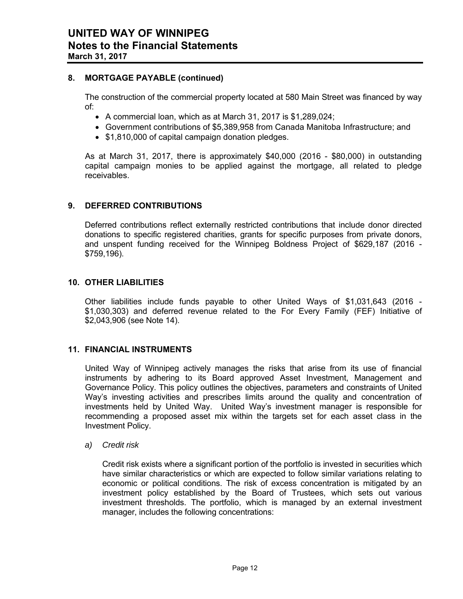## **8. MORTGAGE PAYABLE (continued)**

 The construction of the commercial property located at 580 Main Street was financed by way of:

- A commercial loan, which as at March 31, 2017 is \$1,289,024;
- Government contributions of \$5,389,958 from Canada Manitoba Infrastructure; and
- \$1,810,000 of capital campaign donation pledges.

As at March 31, 2017, there is approximately \$40,000 (2016 - \$80,000) in outstanding capital campaign monies to be applied against the mortgage, all related to pledge receivables.

## **9. DEFERRED CONTRIBUTIONS**

Deferred contributions reflect externally restricted contributions that include donor directed donations to specific registered charities, grants for specific purposes from private donors, and unspent funding received for the Winnipeg Boldness Project of \$629,187 (2016 - \$759,196).

#### **10. OTHER LIABILITIES**

Other liabilities include funds payable to other United Ways of \$1,031,643 (2016 - \$1,030,303) and deferred revenue related to the For Every Family (FEF) Initiative of \$2,043,906 (see Note 14).

## **11. FINANCIAL INSTRUMENTS**

United Way of Winnipeg actively manages the risks that arise from its use of financial instruments by adhering to its Board approved Asset Investment, Management and Governance Policy. This policy outlines the objectives, parameters and constraints of United Way's investing activities and prescribes limits around the quality and concentration of investments held by United Way. United Way's investment manager is responsible for recommending a proposed asset mix within the targets set for each asset class in the Investment Policy.

#### *a) Credit risk*

Credit risk exists where a significant portion of the portfolio is invested in securities which have similar characteristics or which are expected to follow similar variations relating to economic or political conditions. The risk of excess concentration is mitigated by an investment policy established by the Board of Trustees, which sets out various investment thresholds. The portfolio, which is managed by an external investment manager, includes the following concentrations: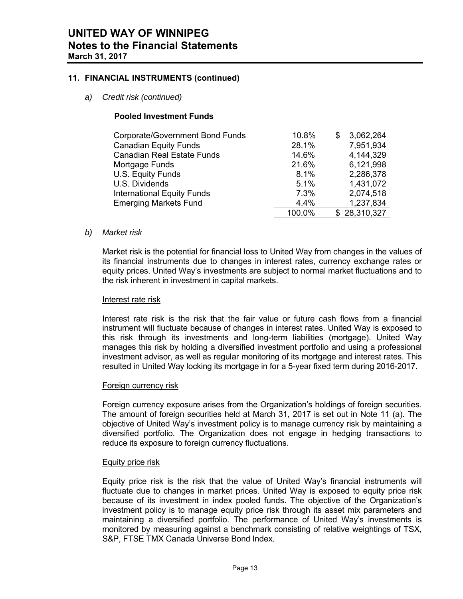## **11. FINANCIAL INSTRUMENTS (continued)**

*a) Credit risk (continued)* 

## **Pooled Investment Funds**

| Corporate/Government Bond Funds   | 10.8%  | 3,062,264    |
|-----------------------------------|--------|--------------|
| <b>Canadian Equity Funds</b>      | 28.1%  | 7,951,934    |
| <b>Canadian Real Estate Funds</b> | 14.6%  | 4,144,329    |
| Mortgage Funds                    | 21.6%  | 6,121,998    |
| U.S. Equity Funds                 | 8.1%   | 2,286,378    |
| U.S. Dividends                    | 5.1%   | 1,431,072    |
| <b>International Equity Funds</b> | 7.3%   | 2,074,518    |
| <b>Emerging Markets Fund</b>      | 4.4%   | 1,237,834    |
|                                   | 100.0% | \$28,310,327 |

#### *b) Market risk*

Market risk is the potential for financial loss to United Way from changes in the values of its financial instruments due to changes in interest rates, currency exchange rates or equity prices. United Way's investments are subject to normal market fluctuations and to the risk inherent in investment in capital markets.

#### Interest rate risk

Interest rate risk is the risk that the fair value or future cash flows from a financial instrument will fluctuate because of changes in interest rates. United Way is exposed to this risk through its investments and long-term liabilities (mortgage). United Way manages this risk by holding a diversified investment portfolio and using a professional investment advisor, as well as regular monitoring of its mortgage and interest rates. This resulted in United Way locking its mortgage in for a 5-year fixed term during 2016-2017.

#### Foreign currency risk

Foreign currency exposure arises from the Organization's holdings of foreign securities. The amount of foreign securities held at March 31, 2017 is set out in Note 11 (a). The objective of United Way's investment policy is to manage currency risk by maintaining a diversified portfolio. The Organization does not engage in hedging transactions to reduce its exposure to foreign currency fluctuations.

#### Equity price risk

Equity price risk is the risk that the value of United Way's financial instruments will fluctuate due to changes in market prices. United Way is exposed to equity price risk because of its investment in index pooled funds. The objective of the Organization's investment policy is to manage equity price risk through its asset mix parameters and maintaining a diversified portfolio. The performance of United Way's investments is monitored by measuring against a benchmark consisting of relative weightings of TSX, S&P, FTSE TMX Canada Universe Bond Index.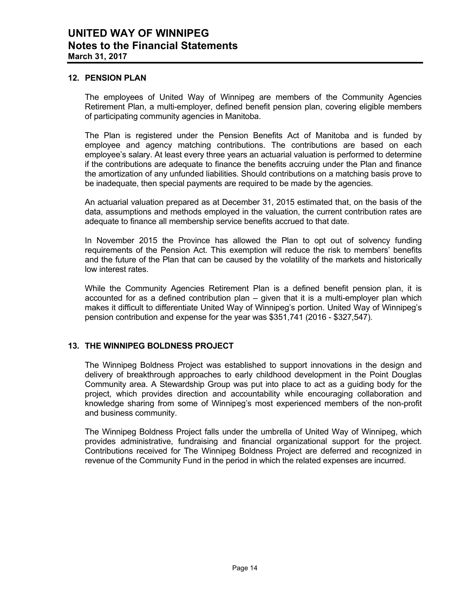### **12. PENSION PLAN**

 The employees of United Way of Winnipeg are members of the Community Agencies Retirement Plan, a multi-employer, defined benefit pension plan, covering eligible members of participating community agencies in Manitoba.

 The Plan is registered under the Pension Benefits Act of Manitoba and is funded by employee and agency matching contributions. The contributions are based on each employee's salary. At least every three years an actuarial valuation is performed to determine if the contributions are adequate to finance the benefits accruing under the Plan and finance the amortization of any unfunded liabilities. Should contributions on a matching basis prove to be inadequate, then special payments are required to be made by the agencies.

 An actuarial valuation prepared as at December 31, 2015 estimated that, on the basis of the data, assumptions and methods employed in the valuation, the current contribution rates are adequate to finance all membership service benefits accrued to that date.

 In November 2015 the Province has allowed the Plan to opt out of solvency funding requirements of the Pension Act. This exemption will reduce the risk to members' benefits and the future of the Plan that can be caused by the volatility of the markets and historically low interest rates.

While the Community Agencies Retirement Plan is a defined benefit pension plan, it is accounted for as a defined contribution plan – given that it is a multi-employer plan which makes it difficult to differentiate United Way of Winnipeg's portion. United Way of Winnipeg's pension contribution and expense for the year was \$351,741 (2016 - \$327,547).

## **13. THE WINNIPEG BOLDNESS PROJECT**

 The Winnipeg Boldness Project was established to support innovations in the design and delivery of breakthrough approaches to early childhood development in the Point Douglas Community area. A Stewardship Group was put into place to act as a guiding body for the project, which provides direction and accountability while encouraging collaboration and knowledge sharing from some of Winnipeg's most experienced members of the non-profit and business community.

 The Winnipeg Boldness Project falls under the umbrella of United Way of Winnipeg, which provides administrative, fundraising and financial organizational support for the project. Contributions received for The Winnipeg Boldness Project are deferred and recognized in revenue of the Community Fund in the period in which the related expenses are incurred.